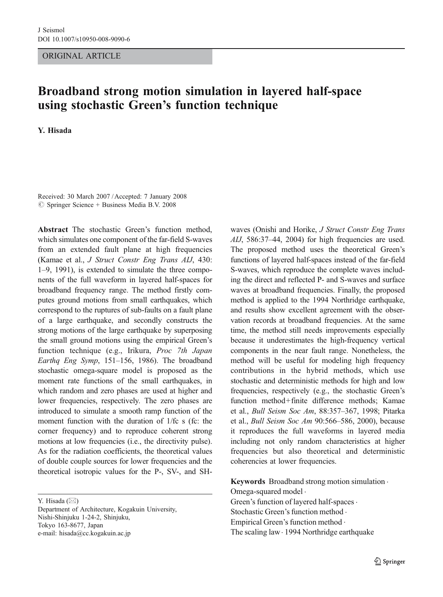ORIGINAL ARTICLE

# Broadband strong motion simulation in layered half-space using stochastic Green's function technique

Y. Hisada

Received: 30 March 2007 /Accepted: 7 January 2008  $\circ$  Springer Science + Business Media B.V. 2008

Abstract The stochastic Green's function method, which simulates one component of the far-field S-waves from an extended fault plane at high frequencies (Kamae et al., J Struct Constr Eng Trans AIJ, 430: 1–9, 1991), is extended to simulate the three components of the full waveform in layered half-spaces for broadband frequency range. The method firstly computes ground motions from small earthquakes, which correspond to the ruptures of sub-faults on a fault plane of a large earthquake, and secondly constructs the strong motions of the large earthquake by superposing the small ground motions using the empirical Green's function technique (e.g., Irikura, Proc 7th Japan Earthq Eng Symp, 151–156, 1986). The broadband stochastic omega-square model is proposed as the moment rate functions of the small earthquakes, in which random and zero phases are used at higher and lower frequencies, respectively. The zero phases are introduced to simulate a smooth ramp function of the moment function with the duration of 1/fc s (fc: the corner frequency) and to reproduce coherent strong motions at low frequencies (i.e., the directivity pulse). As for the radiation coefficients, the theoretical values of double couple sources for lower frequencies and the theoretical isotropic values for the P-, SV-, and SH-

Y. Hisada (*\**)

Department of Architecture, Kogakuin University, Nishi-Shinjuku 1-24-2, Shinjuku, Tokyo 163-8677, Japan e-mail: hisada@cc.kogakuin.ac.jp

waves (Onishi and Horike, J Struct Constr Eng Trans  $AIJ$ , 586:37–44, 2004) for high frequencies are used. The proposed method uses the theoretical Green's functions of layered half-spaces instead of the far-field S-waves, which reproduce the complete waves including the direct and reflected P- and S-waves and surface waves at broadband frequencies. Finally, the proposed method is applied to the 1994 Northridge earthquake, and results show excellent agreement with the observation records at broadband frequencies. At the same time, the method still needs improvements especially because it underestimates the high-frequency vertical components in the near fault range. Nonetheless, the method will be useful for modeling high frequency contributions in the hybrid methods, which use stochastic and deterministic methods for high and low frequencies, respectively (e.g., the stochastic Green's function method+finite difference methods; Kamae et al., Bull Seism Soc Am, 88:357–367, 1998; Pitarka et al., Bull Seism Soc Am 90:566–586, 2000), because it reproduces the full waveforms in layered media including not only random characteristics at higher frequencies but also theoretical and deterministic coherencies at lower frequencies.

Keywords Broadband strong motion simulation . Omega-squared model . Green's function of layered half-spaces . Stochastic Green's function method . Empirical Green's function method . The scaling law · 1994 Northridge earthquake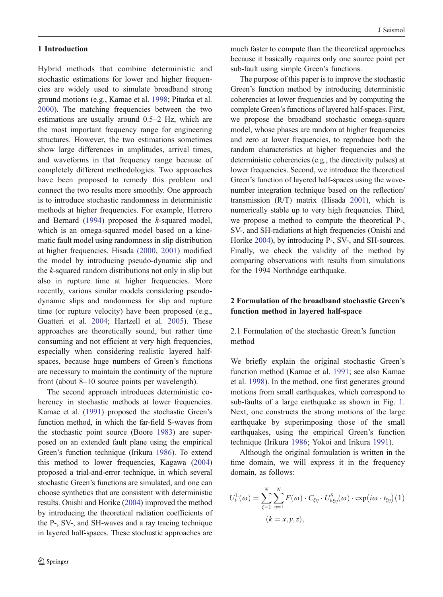<span id="page-1-0"></span>Hybrid methods that combine deterministic and stochastic estimations for lower and higher frequencies are widely used to simulate broadband strong ground motions (e.g., Kamae et al. [1998](#page-14-0); Pitarka et al. [2000](#page-14-0)). The matching frequencies between the two estimations are usually around 0.5–2 Hz, which are the most important frequency range for engineering structures. However, the two estimations sometimes show large differences in amplitudes, arrival times, and waveforms in that frequency range because of completely different methodologies. Two approaches have been proposed to remedy this problem and connect the two results more smoothly. One approach is to introduce stochastic randomness in deterministic methods at higher frequencies. For example, Herrero and Bernard [\(1994](#page-14-0)) proposed the k-squared model, which is an omega-squared model based on a kinematic fault model using randomness in slip distribution at higher frequencies. Hisada [\(2000](#page-14-0), [2001](#page-14-0)) modified the model by introducing pseudo-dynamic slip and the k-squared random distributions not only in slip but also in rupture time at higher frequencies. More recently, various similar models considering pseudodynamic slips and randomness for slip and rupture time (or rupture velocity) have been proposed (e.g., Guatteri et al. [2004](#page-14-0); Hartzell et al. [2005](#page-14-0)). These approaches are theoretically sound, but rather time consuming and not efficient at very high frequencies, especially when considering realistic layered halfspaces, because huge numbers of Green's functions are necessary to maintain the continuity of the rupture front (about 8–10 source points per wavelength).

The second approach introduces deterministic coherency in stochastic methods at lower frequencies. Kamae et al. [\(1991](#page-14-0)) proposed the stochastic Green's function method, in which the far-field S-waves from the stochastic point source (Boore [1983](#page-14-0)) are superposed on an extended fault plane using the empirical Green's function technique (Irikura [1986](#page-14-0)). To extend this method to lower frequencies, Kagawa [\(2004](#page-14-0)) proposed a trial-and-error technique, in which several stochastic Green's functions are simulated, and one can choose synthetics that are consistent with deterministic results. Onishi and Horike [\(2004](#page-14-0)) improved the method by introducing the theoretical radiation coefficients of the P-, SV-, and SH-waves and a ray tracing technique in layered half-spaces. These stochastic approaches are much faster to compute than the theoretical approaches because it basically requires only one source point per sub-fault using simple Green's functions.

The purpose of this paper is to improve the stochastic Green's function method by introducing deterministic coherencies at lower frequencies and by computing the complete Green's functions of layered half-spaces. First, we propose the broadband stochastic omega-square model, whose phases are random at higher frequencies and zero at lower frequencies, to reproduce both the random characteristics at higher frequencies and the deterministic coherencies (e.g., the directivity pulses) at lower frequencies. Second, we introduce the theoretical Green's function of layered half-spaces using the wavenumber integration technique based on the reflection/ transmission (R/T) matrix (Hisada [2001](#page-14-0)), which is numerically stable up to very high frequencies. Third, we propose a method to compute the theoretical P-, SV-, and SH-radiations at high frequencies (Onishi and Horike [2004](#page-14-0)), by introducing P-, SV-, and SH-sources. Finally, we check the validity of the method by comparing observations with results from simulations for the 1994 Northridge earthquake.

## 2 Formulation of the broadband stochastic Green's function method in layered half-space

2.1 Formulation of the stochastic Green's function method

We briefly explain the original stochastic Green's function method (Kamae et al. [1991](#page-14-0); see also Kamae et al. [1998](#page-14-0)). In the method, one first generates ground motions from small earthquakes, which correspond to sub-faults of a large earthquake as shown in Fig. [1](#page-2-0). Next, one constructs the strong motions of the large earthquake by superimposing those of the small earthquakes, using the empirical Green's function technique (Irikura [1986](#page-14-0); Yokoi and Irikura [1991](#page-14-0)).

Although the original formulation is written in the time domain, we will express it in the frequency domain, as follows:

$$
U_k^{\text{L}}(\omega) = \sum_{\xi=1}^N \sum_{\eta=1}^N F(\omega) \cdot C_{\xi\eta} \cdot U_{k\xi\eta}^{\text{S}}(\omega) \cdot \exp(i\omega \cdot t_{\xi\eta})(1)
$$

$$
(k = x, y, z),
$$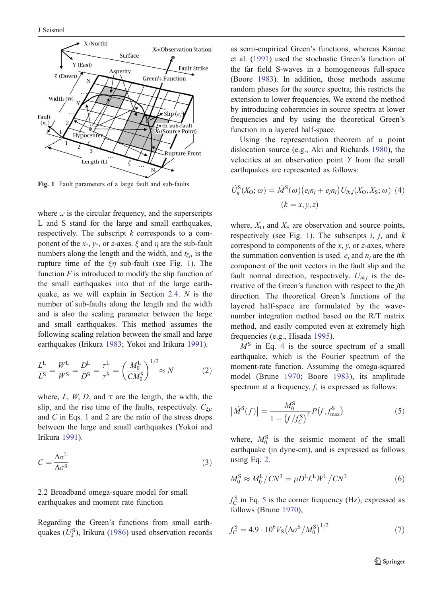<span id="page-2-0"></span>

Fig. 1 Fault parameters of a large fault and sub-faults

where  $\omega$  is the circular frequency, and the superscripts L and S stand for the large and small earthquakes, respectively. The subscript  $k$  corresponds to a component of the x-, y-, or z-axes.  $\xi$  and  $\eta$  are the sub-fault numbers along the length and the width, and  $t_{\xi\mu}$  is the rupture time of the  $\xi \eta$  sub-fault (see Fig. 1). The function  $F$  is introduced to modify the slip function of the small earthquakes into that of the large earthquake, as we will explain in Section [2.4](#page-5-0). N is the number of sub-faults along the length and the width and is also the scaling parameter between the large and small earthquakes. This method assumes the following scaling relation between the small and large earthquakes (Irikura [1983](#page-14-0); Yokoi and Irikura [1991](#page-14-0)).

$$
\frac{L^{L}}{L^{S}} = \frac{W^{L}}{W^{S}} = \frac{D^{L}}{D^{S}} = \frac{\tau^{L}}{\tau^{S}} = \left(\frac{M_{0}^{L}}{CM_{0}^{S}}\right)^{1/3} \approx N
$$
 (2)

where, L, W, D, and  $\tau$  are the length, the width, the slip, and the rise time of the faults, respectively.  $C_{\xi}$ and C in Eqs. [1](#page-1-0) and 2 are the ratio of the stress drops between the large and small earthquakes (Yokoi and Irikura [1991](#page-14-0)).

$$
C = \frac{\Delta \sigma^{\text{L}}}{\Delta \sigma^{\text{S}}} \tag{3}
$$

2.2 Broadband omega-square model for small earthquakes and moment rate function

Regarding the Green's functions from small earthquakes  $(U_k^S)$ , Irikura [\(1986](#page-14-0)) used observation records as semi-empirical Green's functions, whereas Kamae et al. [\(1991](#page-14-0)) used the stochastic Green's function of the far field S-waves in a homogeneous full-space (Boore [1983](#page-14-0)). In addition, those methods assume random phases for the source spectra; this restricts the extension to lower frequencies. We extend the method by introducing coherencies in source spectra at lower frequencies and by using the theoretical Green's function in a layered half-space.

Using the representation theorem of a point dislocation source (e.g., Aki and Richards [1980](#page-14-0)), the velocities at an observation point Y from the small earthquakes are represented as follows:

$$
\dot{U}_k^{\rm S}(X_{\rm O};\omega) = \dot{M}^{\rm S}(\omega) \big(e_i n_j + e_j n_i\big) U_{ik,j}(X_{\rm O}, X_{\rm S};\omega) \tag{4}
$$
\n
$$
(k = x, y, z)
$$

where,  $X_{\text{O}}$  and  $X_{\text{S}}$  are observation and source points, respectively (see Fig. 1). The subscripts  $i, j$ , and  $k$ correspond to components of the  $x$ ,  $y$ , or  $z$ -axes, where the summation convention is used.  $e_i$  and  $n_i$  are the *i*th component of the unit vectors in the fault slip and the fault normal direction, respectively.  $U_{ik,j}$  is the derivative of the Green's function with respect to the jth direction. The theoretical Green's functions of the layered half-space are formulated by the wavenumber integration method based on the R/T matrix method, and easily computed even at extremely high frequencies (e.g., Hisada [1995](#page-14-0)).

 $M<sup>S</sup>$  in Eq. 4 is the source spectrum of a small earthquake, which is the Fourier spectrum of the moment-rate function. Assuming the omega-squared model (Brune [1970](#page-14-0); Boore [1983](#page-14-0)), its amplitude spectrum at a frequency,  $f$ , is expressed as follows:

$$
\left|\dot{M}^{S}(f)\right| = \frac{M_{0}^{S}}{1 + \left(f/f_{C}^{S}\right)^{2}} P\left(f, f_{\text{max}}^{S}\right)
$$
\n(5)

where,  $M_0^S$  is the seismic moment of the small earthquake (in dyne-cm), and is expressed as follows using Eq. 2.

$$
M_0^{\rm S} \approx M_0^{\rm L}/CN^3 = \mu D^{\rm L} L^{\rm L} W^{\rm L}/CN^3 \tag{6}
$$

 $f_C^{\rm S}$  in Eq. 5 is the corner frequency (Hz), expressed as follows (Brune [1970](#page-14-0)),

$$
f_C^{\rm S} = 4.9 \cdot 10^6 V_{\rm S} \left(\Delta \sigma^{\rm S} / M_0^{\rm S}\right)^{1/3} \tag{7}
$$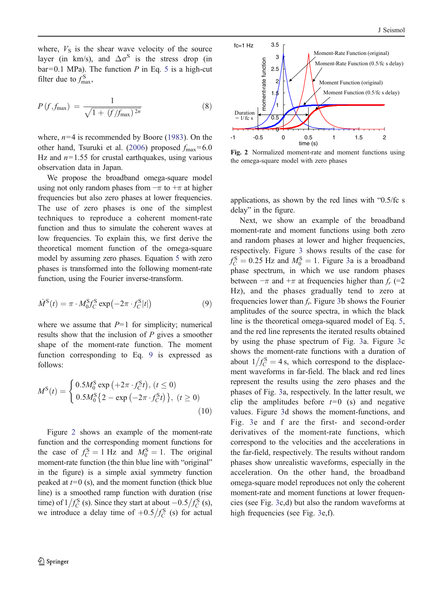<span id="page-3-0"></span>where,  $V<sub>S</sub>$  is the shear wave velocity of the source layer (in km/s), and  $\Delta \sigma^S$  is the stress drop (in  $bar=0.1$  MPa). The function P in Eq. [5](#page-2-0) is a high-cut filter due to  $f_{\text{max}}^{\text{S}}$ ,

$$
P(f, f_{\max}) = \frac{1}{\sqrt{1 + (f/f_{\max})^{2n}}}
$$
(8)

where,  $n=4$  is recommended by Boore [\(1983](#page-14-0)). On the other hand, Tsuruki et al. [\(2006](#page-14-0)) proposed  $f_{\text{max}}=6.0$ Hz and  $n=1.55$  for crustal earthquakes, using various observation data in Japan.

We propose the broadband omega-square model using not only random phases from  $-\pi$  to  $+\pi$  at higher frequencies but also zero phases at lower frequencies. The use of zero phases is one of the simplest techniques to reproduce a coherent moment-rate function and thus to simulate the coherent waves at low frequencies. To explain this, we first derive the theoretical moment function of the omega-square model by assuming zero phases. Equation [5](#page-2-0) with zero phases is transformed into the following moment-rate function, using the Fourier inverse-transform.

$$
\dot{M}^{\rm S}(t) = \pi \cdot M_0^{\rm S} f_{\rm C}^{\rm S} \exp\left(-2\pi \cdot f_{\rm C}^{\rm S}|t|\right) \tag{9}
$$

where we assume that  $P=1$  for simplicity; numerical results show that the inclusion of  $P$  gives a smoother shape of the moment-rate function. The moment function corresponding to Eq. 9 is expressed as follows:

$$
M^{S}(t) = \begin{cases} 0.5M_{0}^{S} \exp(t+2\pi \cdot f_{C}^{S}t), (t \le 0) \\ 0.5M_{0}^{S}\{2 - \exp(-2\pi \cdot f_{C}^{S}t)\}, (t \ge 0) \end{cases}
$$
(10)

Figure 2 shows an example of the moment-rate function and the corresponding moment functions for the case of  $f_C^S = 1$  Hz and  $M_0^S = 1$ . The original moment-rate function (the thin blue line with "original" in the figure) is a simple axial symmetry function peaked at  $t=0$  (s), and the moment function (thick blue line) is a smoothed ramp function with duration (rise time) of  $1/f_C^S$  (s). Since they start at about  $-0.5/f_C^S$  (s), we introduce a delay time of  $+0.5/f_C^S$  (s) for actual



Fig. 2 Normalized moment-rate and moment functions using the omega-square model with zero phases

applications, as shown by the red lines with "0.5/fc s delay" in the figure.

Next, we show an example of the broadband moment-rate and moment functions using both zero and random phases at lower and higher frequencies, respectively. Figure [3](#page-4-0) shows results of the case for  $f_C^{\rm S} = 0.25$  Hz and  $M_0^{\rm S} = 1$ . Figure [3](#page-4-0)a is a broadband phase spectrum, in which we use random phases between  $-\pi$  and  $+\pi$  at frequencies higher than  $f_r$  (=2 Hz), and the phases gradually tend to zero at frequencies lower than  $f_r$ . Figure [3](#page-4-0)b shows the Fourier amplitudes of the source spectra, in which the black line is the theoretical omega-squared model of Eq. [5](#page-2-0), and the red line represents the iterated results obtained by using the phase spectrum of Fig. [3](#page-4-0)a. Figure [3](#page-4-0)c shows the moment-rate functions with a duration of about  $1/f_C^S = 4$  s, which correspond to the displacement waveforms in far-field. The black and red lines represent the results using the zero phases and the phases of Fig. [3](#page-4-0)a, respectively. In the latter result, we clip the amplitudes before  $t=0$  (s) and negative values. Figure [3](#page-4-0)d shows the moment-functions, and Fig. [3](#page-4-0)e and f are the first- and second-order derivatives of the moment-rate functions, which correspond to the velocities and the accelerations in the far-field, respectively. The results without random phases show unrealistic waveforms, especially in the acceleration. On the other hand, the broadband omega-square model reproduces not only the coherent moment-rate and moment functions at lower frequencies (see Fig. [3](#page-4-0)c,d) but also the random waveforms at high frequencies (see Fig. [3](#page-4-0)e,f).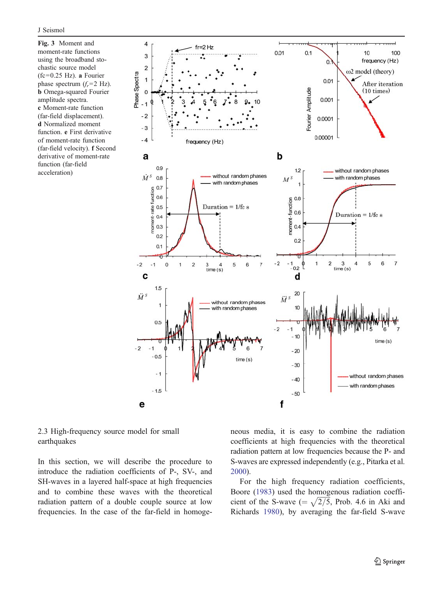<span id="page-4-0"></span>Fig. 3 Moment and moment-rate functions using the broadband stochastic source model  $(fc=0.25 \text{ Hz})$ . a Fourier phase spectrum  $(f_r = 2 \text{ Hz})$ . b Omega-squared Fourier amplitude spectra. c Moment-rate function (far-field displacement). d Normalized moment function. e First derivative of moment-rate function (far-field velocity). f Second derivative of moment-rate function (far-field acceleration)



2.3 High-frequency source model for small earthquakes

In this section, we will describe the procedure to introduce the radiation coefficients of P-, SV-, and SH-waves in a layered half-space at high frequencies and to combine these waves with the theoretical radiation pattern of a double couple source at low frequencies. In the case of the far-field in homogeneous media, it is easy to combine the radiation coefficients at high frequencies with the theoretical radiation pattern at low frequencies because the P- and S-waves are expressed independently (e.g., Pitarka et al. [2000](#page-14-0)).

For the high frequency radiation coefficients, Boore [\(1983](#page-14-0)) used the homogenous radiation coefficient of the S-wave ( $=\sqrt{2/5}$ , Prob. 4.6 in Aki and Richards [1980](#page-14-0)), by averaging the far-field S-wave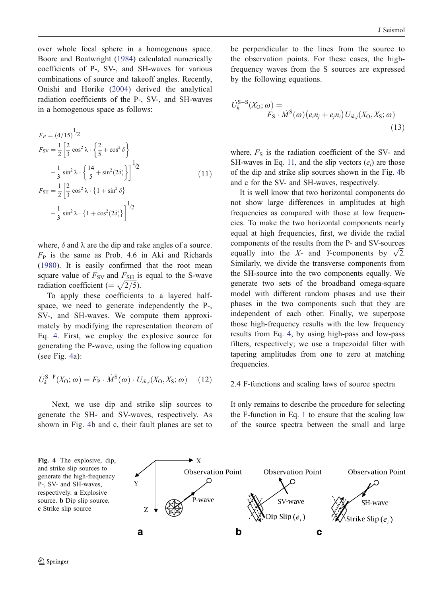<span id="page-5-0"></span>over whole focal sphere in a homogenous space. Boore and Boatwright [\(1984](#page-14-0)) calculated numerically coefficients of P-, SV-, and SH-waves for various combinations of source and takeoff angles. Recently, Onishi and Horike [\(2004](#page-14-0)) derived the analytical radiation coefficients of the P-, SV-, and SH-waves in a homogenous space as follows:

$$
F_P = (4/15)^{1/2}
$$
  
\n
$$
F_{SV} = \frac{1}{2} \left[ \frac{2}{3} \cos^2 \lambda \cdot \left\{ \frac{2}{5} + \cos^2 \delta \right\} + \frac{1}{3} \sin^2 \lambda \cdot \left\{ \frac{14}{5} + \sin^2(2\delta) \right\} \right]^{1/2}
$$
  
\n
$$
F_{SH} = \frac{1}{2} \left[ \frac{2}{3} \cos^2 \lambda \cdot \left\{ 1 + \sin^2 \delta \right\} + \frac{1}{3} \sin^2 \lambda \cdot \left\{ 1 + \cos^2(2\delta) \right\} \right]^{1/2}
$$
\n(11)

where,  $\delta$  and  $\lambda$  are the dip and rake angles of a source.  $F<sub>P</sub>$  is the same as Prob. 4.6 in Aki and Richards [\(1980](#page-14-0)). It is easily confirmed that the root mean square value of  $F_{SV}$  and  $F_{SH}$  is equal to the S-wave radiation coefficient (=  $\sqrt{2/5}$ ).

To apply these coefficients to a layered halfspace, we need to generate independently the P-, SV-, and SH-waves. We compute them approximately by modifying the representation theorem of Eq. [4](#page-2-0). First, we employ the explosive source for generating the P-wave, using the following equation (see Fig. 4a):

$$
\dot{U}_{k}^{S-P}(X_{O};\omega) = F_{P} \cdot \dot{M}^{S}(\omega) \cdot U_{ik,i}(X_{O},X_{S};\omega)
$$
 (12)

Next, we use dip and strike slip sources to generate the SH- and SV-waves, respectively. As shown in Fig. 4b and c, their fault planes are set to

be perpendicular to the lines from the source to the observation points. For these cases, the highfrequency waves from the S sources are expressed by the following equations.

$$
U_k^{S-S}(X_0; \omega) =
$$
  
\n
$$
F_S \cdot \dot{M}^S(\omega) (e_i n_j + e_j n_i) U_{ik,j}(X_0, X_S; \omega)
$$
\n(13)

where,  $F<sub>S</sub>$  is the radiation coefficient of the SV- and SH-waves in Eq. 11, and the slip vectors  $(e_i)$  are those of the dip and strike slip sources shown in the Fig. 4b and c for the SV- and SH-waves, respectively.

It is well know that two horizontal components do not show large differences in amplitudes at high frequencies as compared with those at low frequencies. To make the two horizontal components nearly equal at high frequencies, first, we divide the radial components of the results from the P- and SV-sources equally into the X- and Y-components by  $\sqrt{2}$ . Similarly, we divide the transverse components from the SH-source into the two components equally. We generate two sets of the broadband omega-square model with different random phases and use their phases in the two components such that they are independent of each other. Finally, we superpose those high-frequency results with the low frequency results from Eq. [4](#page-2-0), by using high-pass and low-pass filters, respectively; we use a trapezoidal filter with tapering amplitudes from one to zero at matching frequencies.

### 2.4 F-functions and scaling laws of source spectra

It only remains to describe the procedure for selecting the F-function in Eq. [1](#page-1-0) to ensure that the scaling law of the source spectra between the small and large

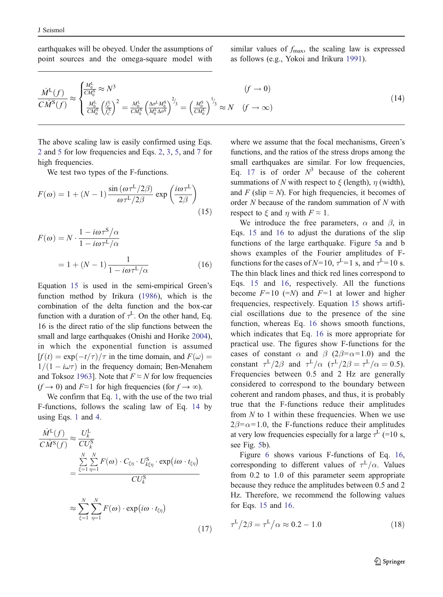<span id="page-6-0"></span>earthquakes will be obeyed. Under the assumptions of point sources and the omega-square model with

similar values of  $f_{\text{max}}$ , the scaling law is expressed as follows (e.g., Yokoi and Irikura [1991](#page-14-0)).

$$
\frac{\dot{M}^{\text{L}}(f)}{C\dot{M}^{\text{S}}(f)} \approx \begin{cases} \frac{M_0^{\text{L}}}{C M_0^{\text{S}}} \approx N^3 & (f \to 0) \\ \frac{M_0^{\text{L}}}{C M_0^{\text{S}}} \left(\frac{f_C^{\text{L}}}{G}\right)^2 = \frac{M_0^{\text{L}}}{C M_0^{\text{S}}} \left(\frac{\Delta \sigma^{\text{L}} M_0^{\text{S}}}{M_0^{\text{L}} \Delta \sigma^{\text{S}}}\right)^{2/3} = \left(\frac{M_0^{\text{S}}}{C M_0^{\text{L}}}\right)^{1/3} \approx N & (f \to \infty) \end{cases}
$$
\n(14)

The above scaling law is easily confirmed using Eqs. [2](#page-2-0) and [5](#page-2-0) for low frequencies and Eqs. [2](#page-2-0), [3](#page-2-0), [5](#page-2-0), and [7](#page-2-0) for high frequencies.

We test two types of the F-functions.

$$
F(\omega) = 1 + (N - 1) \frac{\sin(\omega \tau^{\text{L}}/2\beta)}{\omega \tau^{\text{L}}/2\beta} \exp\left(\frac{i\omega \tau^{\text{L}}}{2\beta}\right)
$$
\n(15)

$$
F(\omega) = N \cdot \frac{1 - i\omega \tau^5 / \alpha}{1 - i\omega \tau^L / \alpha}
$$

$$
= 1 + (N - 1) \frac{1}{1 - i\omega \tau^L / \alpha}
$$
(16)

Equation 15 is used in the semi-empirical Green's function method by Irikura [\(1986](#page-14-0)), which is the combination of the delta function and the box-car function with a duration of  $\tau^L$ . On the other hand, Eq. 16 is the direct ratio of the slip functions between the small and large earthquakes (Onishi and Horike [2004](#page-14-0)), in which the exponential function is assumed  $[f(t) = \exp(-t/\tau)/\tau$  in the time domain, and  $F(\omega) =$  $1/(1 - i\omega\tau)$  in the frequency domain; Ben-Menahem and Toksoz [1963](#page-14-0)]. Note that  $F \approx N$  for low frequencies  $(f \to 0)$  and  $F \approx 1$  for high frequencies (for  $f \to \infty$ ).

We confirm that Eq. [1](#page-1-0), with the use of the two trial F-functions, follows the scaling law of Eq. 14 by using Eqs. [1](#page-1-0) and [4](#page-2-0).

$$
\frac{\dot{M}^L(f)}{C\dot{M}^S(f)} \approx \frac{U_k^L}{CU_k^S}
$$
\n
$$
= \frac{\sum_{\xi=1}^N \sum_{\eta=1}^N F(\omega) \cdot C_{\xi\eta} \cdot U_{k\xi\eta}^S \cdot \exp(i\omega \cdot t_{\xi\eta})}{CU_k^S}
$$
\n
$$
\approx \sum_{\xi=1}^N \sum_{\eta=1}^N F(\omega) \cdot \exp(i\omega \cdot t_{\xi\eta})
$$
\n(17)

where we assume that the focal mechanisms, Green's functions, and the ratios of the stress drops among the small earthquakes are similar. For low frequencies, Eq. 17 is of order  $N^3$  because of the coherent summations of N with respect to  $\xi$  (length),  $\eta$  (width), and F (slip  $\approx$  N). For high frequencies, it becomes of order N because of the random summation of N with respect to  $\xi$  and  $\eta$  with  $F \approx 1$ .

We introduce the free parameters,  $\alpha$  and  $\beta$ , in Eqs. 15 and 16 to adjust the durations of the slip functions of the large earthquake. Figure [5](#page-7-0)a and b shows examples of the Fourier amplitudes of Ffunctions for the cases of  $N=10$ ,  $\tau^L=1$  s, and  $\tau^L=10$  s. The thin black lines and thick red lines correspond to Eqs. 15 and 16, respectively. All the functions become  $F=10$  (=N) and  $F=1$  at lower and higher frequencies, respectively. Equation 15 shows artificial oscillations due to the presence of the sine function, whereas Eq. 16 shows smooth functions, which indicates that Eq. 16 is more appropriate for practical use. The figures show F-functions for the cases of constant  $\alpha$  and  $\beta$  (2 $\beta = \alpha = 1.0$ ) and the constant  $\tau^L/2\beta$  and  $\tau^L/\alpha$  ( $\tau^L/2\beta = \tau^L/\alpha = 0.5$ ). Frequencies between 0.5 and 2 Hz are generally considered to correspond to the boundary between coherent and random phases, and thus, it is probably true that the F-functions reduce their amplitudes from  $N$  to 1 within these frequencies. When we use  $2\beta = \alpha = 1.0$ , the F-functions reduce their amplitudes at very low frequencies especially for a large  $\tau^L$  (=10 s, see Fig. [5](#page-7-0)b).

Figure [6](#page-7-0) shows various F-functions of Eq. 16, corresponding to different values of  $\tau^L/\alpha$ . Values from 0.2 to 1.0 of this parameter seem appropriate because they reduce the amplitudes between 0.5 and 2 Hz. Therefore, we recommend the following values for Eqs. 15 and 16.

$$
\tau^L/2\beta = \tau^L/\alpha \approx 0.2 - 1.0\tag{18}
$$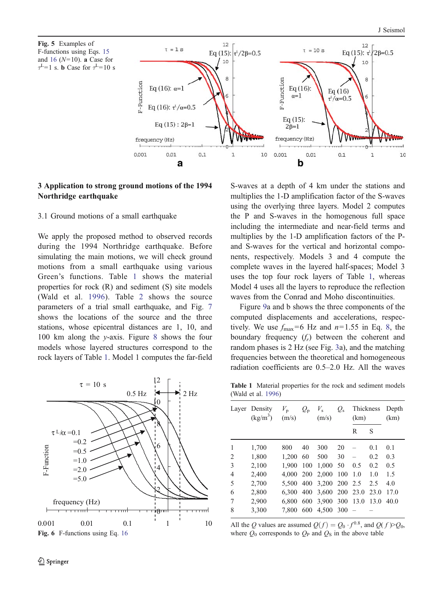<span id="page-7-0"></span>



# 3 Application to strong ground motions of the 1994 Northridge earthquake

### 3.1 Ground motions of a small earthquake

We apply the proposed method to observed records during the 1994 Northridge earthquake. Before simulating the main motions, we will check ground motions from a small earthquake using various Green's functions. Table 1 shows the material properties for rock (R) and sediment (S) site models (Wald et al. [1996](#page-14-0)). Table [2](#page-8-0) shows the source parameters of a trial small earthquake, and Fig. [7](#page-8-0) shows the locations of the source and the three stations, whose epicentral distances are 1, 10, and 100 km along the y-axis. Figure [8](#page-9-0) shows the four models whose layered structures correspond to the rock layers of Table 1. Model 1 computes the far-field



S-waves at a depth of 4 km under the stations and multiplies the 1-D amplification factor of the S-waves using the overlying three layers. Model 2 computes the P and S-waves in the homogenous full space including the intermediate and near-field terms and multiplies by the 1-D amplification factors of the Pand S-waves for the vertical and horizontal components, respectively. Models 3 and 4 compute the complete waves in the layered half-spaces; Model 3 uses the top four rock layers of Table 1, whereas Model 4 uses all the layers to reproduce the reflection waves from the Conrad and Moho discontinuities.

Figure [9](#page-9-0)a and b shows the three components of the computed displacements and accelerations, respectively. We use  $f_{\text{max}}=6$  Hz and  $n=1.55$  in Eq. [8](#page-3-0), the boundary frequency  $(f_r)$  between the coherent and random phases is 2 Hz (see Fig. [3](#page-4-0)a), and the matching frequencies between the theoretical and homogeneous radiation coefficients are 0.5–2.0 Hz. All the waves

Table 1 Material properties for the rock and sediment models (Wald et al. [1996](#page-14-0))

|                | Layer Density<br>$(kg/m^3)$ | $V_{\rm p}$<br>(m/s) | $Q_{\rm p}$ | $V_{\rm s}$<br>(m/s)    | $Q_{\rm s}$ | Thickness<br>(km) |      | Depth<br>(km) |
|----------------|-----------------------------|----------------------|-------------|-------------------------|-------------|-------------------|------|---------------|
|                |                             |                      |             |                         |             | R                 | S    |               |
| 1              | 1,700                       | 800                  | 40          | 300                     | 20          |                   | 0.1  | 0.1           |
| $\overline{2}$ | 1,800                       | 1.200                | 60          | 500                     | 30          |                   | 0.2  | 0.3           |
| 3              | 2,100                       | 1.900                | 100         | 1.000                   | 50          | 0.5               | 0.2  | 0.5           |
| 4              | 2,400                       | 4,000 200            |             | 2,000 100               |             | 1.0               | 1.0  | 1.5           |
| 5              | 2,700                       |                      |             | 5,500 400 3,200 200 2.5 |             |                   | 2.5  | 4.0           |
| 6              | 2,800                       | 6.300 400            |             | 3,600 200 23.0          |             |                   | 23.0 | 17.0          |
| 7              | 2,900                       | 6.800                | 600         | 3,900 300               |             | 13.0              | 13.0 | 40.0          |
| 8              | 3,300                       | 7.800                | 600         | 4,500 300               |             |                   |      |               |

All the Q values are assumed  $Q(f) = Q_0 \cdot f^{0.8}$ , and  $Q(f) > Q_0$ , where  $Q_0$  corresponds to  $Q_P$  and  $Q_S$  in the above table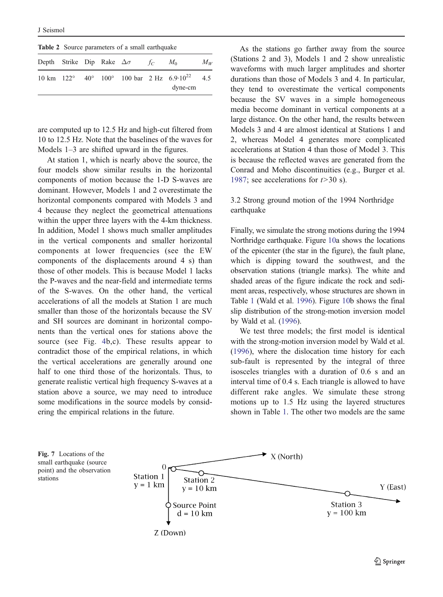<span id="page-8-0"></span>

| <b>Table 2</b> Source parameters of a small earthquake |  |  |  |                                             |  |                                                                               |         |  |  |  |  |
|--------------------------------------------------------|--|--|--|---------------------------------------------|--|-------------------------------------------------------------------------------|---------|--|--|--|--|
|                                                        |  |  |  | Depth Strike Dip Rake $\Delta \sigma$ $f_c$ |  | $M_{0}$                                                                       | $M_{W}$ |  |  |  |  |
|                                                        |  |  |  |                                             |  | 10 km $122^{\circ}$ 40° 100° 100 bar 2 Hz 6.9·10 <sup>22</sup> 4.5<br>dyne-cm |         |  |  |  |  |

are computed up to 12.5 Hz and high-cut filtered from 10 to 12.5 Hz. Note that the baselines of the waves for Models 1–3 are shifted upward in the figures.

At station 1, which is nearly above the source, the four models show similar results in the horizontal components of motion because the 1-D S-waves are dominant. However, Models 1 and 2 overestimate the horizontal components compared with Models 3 and 4 because they neglect the geometrical attenuations within the upper three layers with the 4-km thickness. In addition, Model 1 shows much smaller amplitudes in the vertical components and smaller horizontal components at lower frequencies (see the EW components of the displacements around 4 s) than those of other models. This is because Model 1 lacks the P-waves and the near-field and intermediate terms of the S-waves. On the other hand, the vertical accelerations of all the models at Station 1 are much smaller than those of the horizontals because the SV and SH sources are dominant in horizontal components than the vertical ones for stations above the source (see Fig. [4](#page-5-0)b,c). These results appear to contradict those of the empirical relations, in which the vertical accelerations are generally around one half to one third those of the horizontals. Thus, to generate realistic vertical high frequency S-waves at a station above a source, we may need to introduce some modifications in the source models by considering the empirical relations in the future.

As the stations go farther away from the source (Stations 2 and 3), Models 1 and 2 show unrealistic waveforms with much larger amplitudes and shorter durations than those of Models 3 and 4. In particular, they tend to overestimate the vertical components because the SV waves in a simple homogeneous media become dominant in vertical components at a large distance. On the other hand, the results between Models 3 and 4 are almost identical at Stations 1 and 2, whereas Model 4 generates more complicated accelerations at Station 4 than those of Model 3. This is because the reflected waves are generated from the Conrad and Moho discontinuities (e.g., Burger et al. [1987](#page-14-0); see accelerations for  $t > 30$  s).

## 3.2 Strong ground motion of the 1994 Northridge earthquake

Finally, we simulate the strong motions during the 1994 Northridge earthquake. Figure [10](#page-10-0)a shows the locations of the epicenter (the star in the figure), the fault plane, which is dipping toward the southwest, and the observation stations (triangle marks). The white and shaded areas of the figure indicate the rock and sediment areas, respectively, whose structures are shown in Table [1](#page-7-0) (Wald et al. [1996](#page-14-0)). Figure [10](#page-10-0)b shows the final slip distribution of the strong-motion inversion model by Wald et al. [\(1996](#page-14-0)).

We test three models; the first model is identical with the strong-motion inversion model by Wald et al. [\(1996](#page-14-0)), where the dislocation time history for each sub-fault is represented by the integral of three isosceles triangles with a duration of 0.6 s and an interval time of 0.4 s. Each triangle is allowed to have different rake angles. We simulate these strong motions up to 1.5 Hz using the layered structures shown in Table [1](#page-7-0). The other two models are the same

Fig. 7 Locations of the small earthquake (source point) and the observation stations

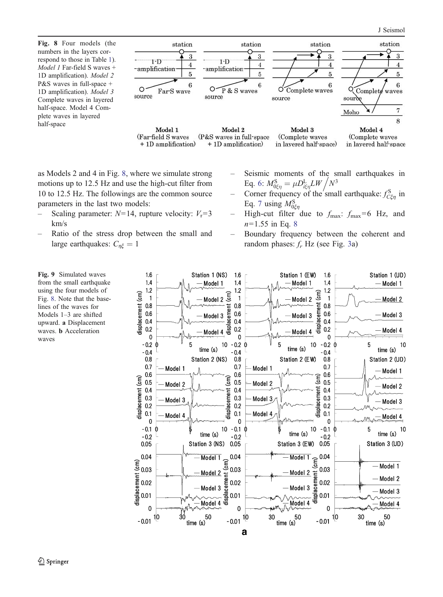<span id="page-9-0"></span>Fig. 8 Four models (the numbers in the layers correspond to those in Table [1](#page-7-0)). Model 1 Far-field S waves + 1D amplification). Model 2 P&S waves in full-space + 1D amplification). Model 3 Complete waves in layered half-space. Model 4 Complete waves in layered half-space



as Models 2 and 4 in Fig. 8, where we simulate strong motions up to 12.5 Hz and use the high-cut filter from 10 to 12.5 Hz. The followings are the common source parameters in the last two models:

- Scaling parameter:  $N=14$ , rupture velocity:  $V_r=3$ km/s
- Ratio of the stress drop between the small and large earthquakes:  $C_{n\xi} = 1$
- Seismic moments of the small earthquakes in Eq. [6](#page-2-0):  $M_{0\xi\eta}^{S} = \mu D_{i\xi\eta}^{L} L W / N^3$
- Corner frequency of the small earthquake:  $f_{C\xi\eta}^{\rm S}$  in Eq. [7](#page-2-0) using  $M_{0\xi\eta}^{S}$
- High-cut filter due to  $f_{\text{max}}$ :  $f_{\text{max}}=6$  Hz, and  $n=1.55$  in Eq. [8](#page-3-0)
- Boundary frequency between the coherent and random phases:  $f_r$  Hz (see Fig. [3](#page-4-0)a)



from the small earthquake using the four models of Fig. 8. Note that the baselines of the waves for Models 1–3 are shifted upward. a Displacement waves. b Acceleration waves

Fig. 9 Simulated waves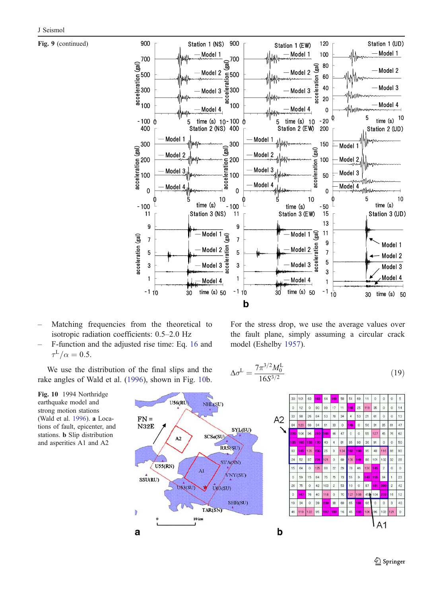<span id="page-10-0"></span>Fig. 9 (continued)



- Matching frequencies from the theoretical to isotropic radiation coefficients: 0.5–2.0 Hz
- F-function and the adjusted rise time: Eq. [16](#page-6-0) and  $\tau^L/\alpha=0.5.$

We use the distribution of the final slips and the rake angles of Wald et al. [\(1996](#page-14-0)), shown in Fig. 10b. For the stress drop, we use the average values over the fault plane, simply assuming a circular crack model (Eshelby [1957](#page-14-0)).

$$
\Delta \sigma^{\mathcal{L}} = \frac{7\pi^{3/2} M_0^{\mathcal{L}}}{16S^{3/2}}\tag{19}
$$



Fig. 10 1994 Northridge earthquake model and strong motion stations (Wald et al. [1996](#page-14-0)). a Locations of fault, epicenter, and stations. b Slip distribution and asperities A1 and A2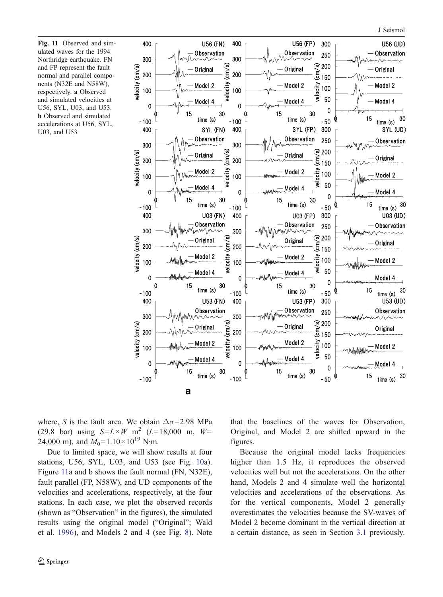Fig. 11 Observed and simulated waves for the 1994 Northridge earthquake. FN and FP represent the fault normal and parallel components (N32E and N58W), respectively. a Observed and simulated velocities at U56, SYL, U03, and U53. b Observed and simulated accelerations at U56, SYL, U03, and U53



where, S is the fault area. We obtain  $\Delta \sigma = 2.98$  MPa (29.8 bar) using  $S = L \times W$  m<sup>2</sup> (L=18,000 m, W= 24,000 m), and  $M_0$ =1.10×10<sup>19</sup> N·m.

Due to limited space, we will show results at four stations, U56, SYL, U03, and U53 (see Fig. [10](#page-10-0)a). Figure 11a and b shows the fault normal (FN, N32E), fault parallel (FP, N58W), and UD components of the velocities and accelerations, respectively, at the four stations. In each case, we plot the observed records (shown as "Observation" in the figures), the simulated results using the original model ("Original"; Wald et al. [1996](#page-14-0)), and Models 2 and 4 (see Fig. [8](#page-9-0)). Note that the baselines of the waves for Observation, Original, and Model 2 are shifted upward in the figures.

Because the original model lacks frequencies higher than 1.5 Hz, it reproduces the observed velocities well but not the accelerations. On the other hand, Models 2 and 4 simulate well the horizontal velocities and accelerations of the observations. As for the vertical components, Model 2 generally overestimates the velocities because the SV-waves of Model 2 become dominant in the vertical direction at a certain distance, as seen in Section [3.1](#page-1-0) previously.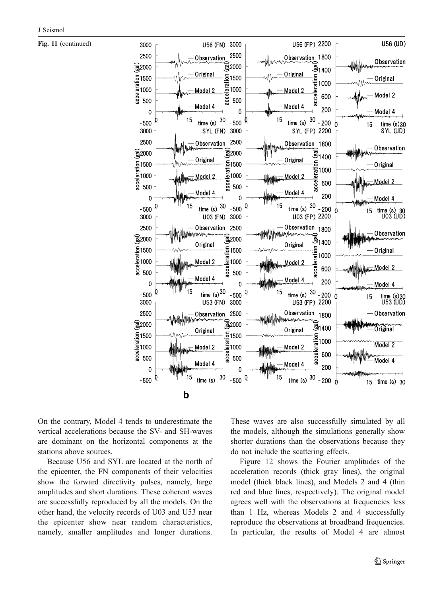Fig. 11 (continued)



On the contrary, Model 4 tends to underestimate the vertical accelerations because the SV- and SH-waves are dominant on the horizontal components at the stations above sources.

Because U56 and SYL are located at the north of the epicenter, the FN components of their velocities show the forward directivity pulses, namely, large amplitudes and short durations. These coherent waves are successfully reproduced by all the models. On the other hand, the velocity records of U03 and U53 near the epicenter show near random characteristics, namely, smaller amplitudes and longer durations. These waves are also successfully simulated by all the models, although the simulations generally show shorter durations than the observations because they do not include the scattering effects.

Figure [12](#page-13-0) shows the Fourier amplitudes of the acceleration records (thick gray lines), the original model (thick black lines), and Models 2 and 4 (thin red and blue lines, respectively). The original model agrees well with the observations at frequencies less than 1 Hz, whereas Models 2 and 4 successfully reproduce the observations at broadband frequencies. In particular, the results of Model 4 are almost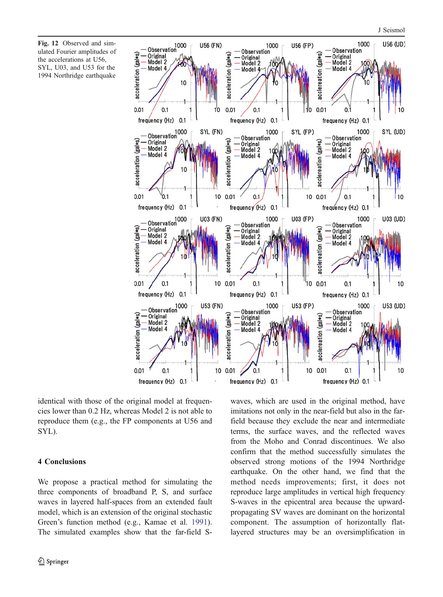<span id="page-13-0"></span>Fig. 12 Observed and simulated Fourier amplitudes of the accelerations at U56, SYL, U03, and U53 for the 1994 Northridge earthquake



identical with those of the original model at frequencies lower than 0.2 Hz, whereas Model 2 is not able to reproduce them (e.g., the FP components at U56 and SYL).

#### 4 Conclusions

We propose a practical method for simulating the three components of broadband P, S, and surface waves in layered half-spaces from an extended fault model, which is an extension of the original stochastic Green's function method (e.g., Kamae et al. [1991](#page-14-0)). The simulated examples show that the far-field S-

waves, which are used in the original method, have imitations not only in the near-field but also in the farfield because they exclude the near and intermediate terms, the surface waves, and the reflected waves from the Moho and Conrad discontinues. We also confirm that the method successfully simulates the observed strong motions of the 1994 Northridge earthquake. On the other hand, we find that the method needs improvements; first, it does not reproduce large amplitudes in vertical high frequency S-waves in the epicentral area because the upwardpropagating SV waves are dominant on the horizontal component. The assumption of horizontally flatlayered structures may be an oversimplification in